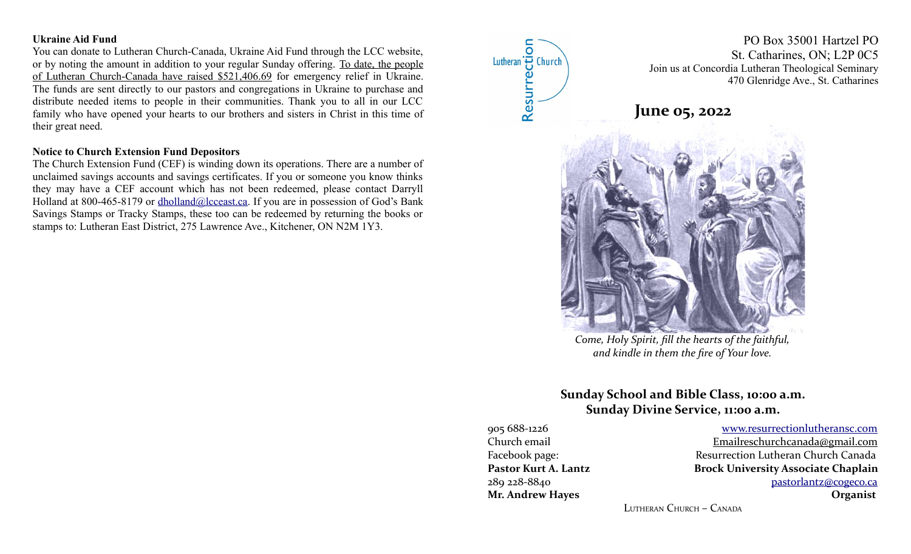#### **Ukraine Aid Fund**

You can donate to Lutheran Church-Canada, Ukraine Aid Fund through the LCC website, or by noting the amount in addition to your regular Sunday offering. To date, the people of Lutheran Church-Canada have raised \$521,406.69 for emergency relief in Ukraine. The funds are sent directly to our pastors and congregations in Ukraine to purchase and distribute needed items to people in their communities. Thank you to all in our LCC family who have opened your hearts to our brothers and sisters in Christ in this time of their great need.

#### **Notice to Church Extension Fund Depositors**

The Church Extension Fund (CEF) is winding down its operations. There are a number of unclaimed savings accounts and savings certificates. If you or someone you know thinks they may have a CEF account which has not been redeemed, please contact Darryll Holland at 800-465-8179 or [dholland@lcceast.ca](mailto:dholland@lcceast.ca). If you are in possession of God's Bank Savings Stamps or Tracky Stamps, these too can be redeemed by returning the books or stamps to: Lutheran East District, 275 Lawrence Ave., Kitchener, ON N2M 1Y3.

 $\overline{\mathsf{o}}$ Lutheran B Church Resurred

PO Box 35001 Hartzel PO St. Catharines, ON; L2P 0C5 Join us at Concordia Lutheran Theological Seminary 470 Glenridge Ave., St. Catharines

**June 05, 2022**



*Come, Holy Spirit, fill the hearts of the faithful, and kindle in them the fire of Your love.*

# **Sunday School and Bible Class, 10:00 a.m. Sunday Divine Service, 11:00 a.m.**

905 688-1226 [www.resurrectionl utherans c.c om](http://www.resurrectionlc.ca/) Church email Emailreschur chanada@gmail.com Facebook page: Resurrection Lutheran Church Canada Pastor Kurt A. Lantz **Brock University Associate Chaplain** 289 228-8840 [pastorlantz@cogeco.ca](mailto:pastorlantz@cogeco.ca) **Mr. Andrew Hayes Organist**

LUTHERAN CHURCH – CANADA